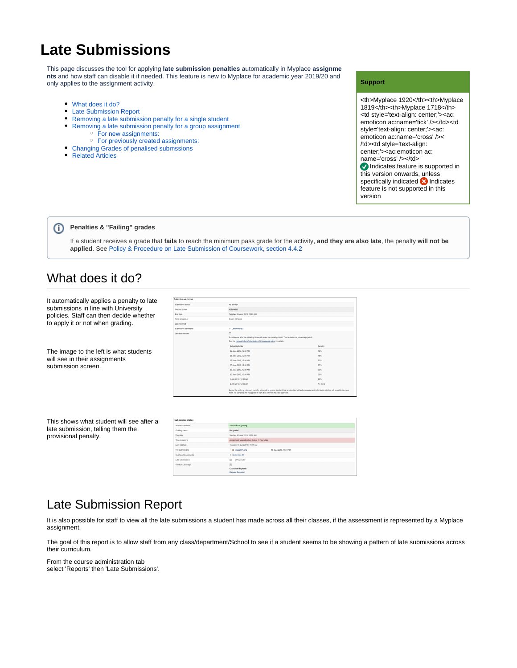# **Late Submissions**

This page discusses the tool for applying **late submission penalties** automatically in Myplace **assignme nts** and how staff can disable it if needed. This feature is new to Myplace for academic year 2019/20 and only applies to the assignment activity.

- [What does it do?](#page-0-0)
- [Late Submission Report](#page-0-1)
- [Removing a late submission penalty for a single student](#page-2-0)
- [Removing a late submission penalty for a group assignment](#page-2-1) [For new assignments:](#page-2-2)
	- [For previously created assignments:](#page-2-3)
- [Changing Grades of penalised submssions](#page-2-4)
- [Related Articles](#page-3-0)  $\bullet$

#### **Support**

<th>Myplace 1920</th><th>Myplace 1819</th><th>Myplace 1718</th> <td style='text-align: center;'><ac: emoticon ac:name='tick' /></td><td style='text-align: center;'><ac: emoticon ac:name='cross' />< /td><td style='text-align: center;'><ac:emoticon ac: name='cross' /></td> Indicates feature is supported in this version onwards, unless specifically indicated **8** Indicates feature is not supported in this version

#### **Penalties & "Failing" grades** (i)

If a student receives a grade that **fails** to reach the minimum pass grade for the activity, **and they are also late**, the penalty **will not be applied**. See [Policy & Procedure on Late Submission of Coursework, section 4.4.2](https://www.strath.ac.uk/media/ps/cs/gmap/academicaffairs/policies/Policy_and_Procedure_for_the_Late_Submission_of_Coursework.pdf)

### <span id="page-0-0"></span>What does it do?

It automatically applies a penalty to late submissions in line with University policies. Staff can then decide whether to apply it or not when grading.

The image to the left is what students will see in their assignments submission screen.

| <b>Submission status</b>   |                                                                                                                                                                                                           |                                                                                                                                                      |
|----------------------------|-----------------------------------------------------------------------------------------------------------------------------------------------------------------------------------------------------------|------------------------------------------------------------------------------------------------------------------------------------------------------|
| Submission status          | No attempt                                                                                                                                                                                                |                                                                                                                                                      |
| Grading status             | Not graded                                                                                                                                                                                                |                                                                                                                                                      |
| Due date                   | Tuesday, 25 June 2019, 12:00 AM                                                                                                                                                                           |                                                                                                                                                      |
| Time remaining             | 6 days 12 hours                                                                                                                                                                                           |                                                                                                                                                      |
| Last modified              | $\sim$                                                                                                                                                                                                    |                                                                                                                                                      |
| <b>Submission comments</b> | > Comments (0)                                                                                                                                                                                            |                                                                                                                                                      |
| Late submissions           | $\qquad \qquad \Box$<br>Submissions after the following times will attract the penalty shown. This is shown as percentage points.<br>See the University Late Submission of Coursework policy for details. |                                                                                                                                                      |
|                            | Submitted after                                                                                                                                                                                           | Penalty                                                                                                                                              |
|                            | 25 June 2019, 12:00 AM                                                                                                                                                                                    | 10%                                                                                                                                                  |
|                            | 26 June 2019, 12:00 AM                                                                                                                                                                                    | 15%                                                                                                                                                  |
|                            | 27 June 2019, 12:00 AM                                                                                                                                                                                    | 20%                                                                                                                                                  |
|                            | 28 June 2019, 12:00 AM                                                                                                                                                                                    | 25%                                                                                                                                                  |
|                            | 29 June 2019, 12:00 AM                                                                                                                                                                                    | 30%                                                                                                                                                  |
|                            | 30 June 2019, 12:00 AM                                                                                                                                                                                    | 35%                                                                                                                                                  |
|                            | 1 July 2019, 12:00 AM                                                                                                                                                                                     | 40%                                                                                                                                                  |
|                            | 2 July 2019, 12:00 AM                                                                                                                                                                                     | No mark                                                                                                                                              |
|                            | mark. No penalties will be applied to work that is below the pass standard.                                                                                                                               | As per the policy, a minimum mark for late work of a pass standard that is submitted within the assessment submission window will be set to the pass |

This shows what student will see after a late submission, telling them the provisional penalty.

| <b>Submission status</b> |                                               |  |
|--------------------------|-----------------------------------------------|--|
| Submission status        | Submitted for cracing                         |  |
| Grading status           | Not graded                                    |  |
| Due date                 | Sunday, 16 June 2019, 12:00 AM                |  |
| Time remaining           | Assignment was submitted 2 days 11 hours late |  |
| Last modified            | Tuesday, 18 June 2019, 11:14 AM               |  |
| File submissions         | ing image001.pmg<br>18 June 2019, 11:14 AM    |  |
| Submission comments      | Comments (0)                                  |  |
| Late submissions         | 田<br>20% penalty                              |  |
| Feedback Manager         | $\boxplus$                                    |  |
|                          | <b>Extension Requests</b>                     |  |
|                          | Request Extension                             |  |

## <span id="page-0-1"></span>Late Submission Report

It is also possible for staff to view all the late submissions a student has made across all their classes, if the assessment is represented by a Myplace assignment.

The goal of this report is to allow staff from any class/department/School to see if a student seems to be showing a pattern of late submissions across their curriculum.

From the course administration tab select 'Reports' then 'Late Submissions'.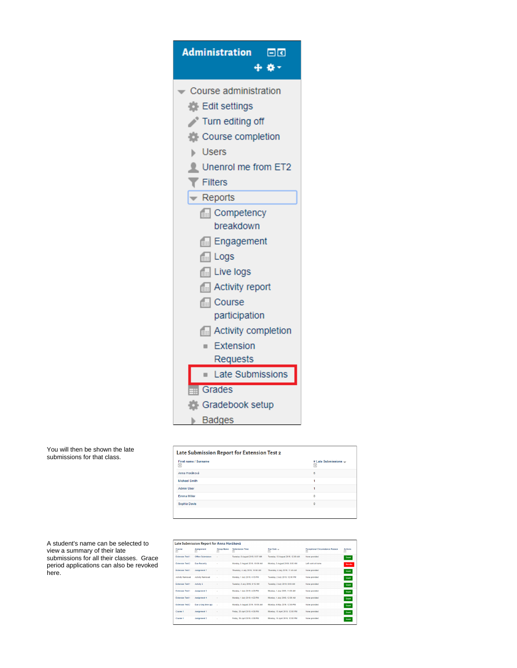| Administration OC<br>÷ * *    |
|-------------------------------|
| Course administration         |
| Edit settings                 |
| Turn editing off              |
| Course completion             |
| <b>Users</b>                  |
| Unenrol me from ET2           |
| $\blacktriangledown$ Filters  |
| $\blacktriangleright$ Reports |
| <b>Competency</b>             |
| breakdown                     |
| <b>Engagement</b>             |
| $\boxed{=}$ Logs              |
| $\Box$ Live logs              |
| Activity report               |
| <b>Real</b> Course            |
| participation                 |
| <b>Activity completion</b>    |
| <b>Extension</b>              |
| Requests                      |
| Late Submissions              |
| <b>Bu</b> Grades              |
| <b>C</b> Gradebook setup      |
| ⊩ Badges                      |

| First name / Surname<br>$\overline{\phantom{a}}$ | # Late Submissions =<br>Ξ |
|--------------------------------------------------|---------------------------|
| Anna Horáková                                    | 6                         |
| <b>Michael Smith</b>                             |                           |
| <b>Admin User</b>                                |                           |
| Emma Miller                                      |                           |
| Sophia Davis                                     |                           |

| A student's name can be selected to      |
|------------------------------------------|
| view a summary of their late             |
| submissions for all their classes. Grace |
| period applications can also be revoked  |
| here.                                    |
|                                          |

|                         | Late Submission Report for Anna Horáková |                        |                                    |                                                      |                                             |              |
|-------------------------|------------------------------------------|------------------------|------------------------------------|------------------------------------------------------|---------------------------------------------|--------------|
| Course<br>同             | <b>Assignment</b><br>⊟                   | <b>Group Name</b><br>同 | <b>Submission Time</b><br>$\equiv$ | Due Date -<br>$\begin{array}{c} \square \end{array}$ | <b>Exceptional Circumstance Reason</b><br>⊟ | Actions<br>Ξ |
| <b>Fylensing Test 1</b> | Office Submisison                        | ×,                     | Tuesday, 6 August 2019, 9:57 AM    | Tuesday, 13 August 2019, 12:00 AM                    | None provided                               | Grant        |
| <b>Extension Test 2</b> | <b>Due Recently</b>                      |                        | Monday, 5 August 2019, 10:09 AM    | Monday, 5 August 2019, 9:00 AM                       | Left work at home                           | Revoke       |
| <b>Extension Test 1</b> | Assignment 7                             |                        | Thursday, 4 July 2019, 10:58 AM    | Thursday, 4 July 2019, 11:40 AM                      | None provided                               | Grant        |
| <b>Activity Removed</b> | <b>Activity Removed</b>                  | ×,                     | Monday, 1 July 2019, 4:13 PM       | Tuesday, 2 July 2019, 12:00 PM                       | None provided                               | Grant        |
| <b>Extension Test 1</b> | Activity 5                               |                        | Tuesday, 2 July 2019, 9:15 AM      | Tuesday, 2 July 2019, 8:00 AM                        | None provided                               | Grant        |
| <b>Extension Test 1</b> | Assignment 3                             |                        | Monday, 1 July 2019, 4:20 PM       | Monday, 1 July 2019, 11:00 AM                        | None provided                               | Grant        |
| Extension Test 1        | Assignment 4                             | ×,                     | Monday, 1 July 2019, 4:22 PM       | Monday, 1 July 2019, 12:00 AM                        | None provided                               | Grant        |
| <b>Fidension Test 2</b> | Due a long time ago                      | k,                     | Monday, 5 August 2019, 10:05 AM    | Monday, 6 May 2019, 12:00 PM                         | None provided                               | Grant        |
| Course 1                | Assignment 1                             |                        | Friday, 26 April 2019, 4:36 PM     | Monday, 15 April 2019, 12:00 PM                      | None provided                               | Grant        |
| Course 1                | Assignment 2                             | i.                     | Friday, 26 April 2019, 4:38 PM     | Monday, 15 April 2019, 12:00 PM                      | None provided                               | Grant        |

You will then be shown the late submissions for that class.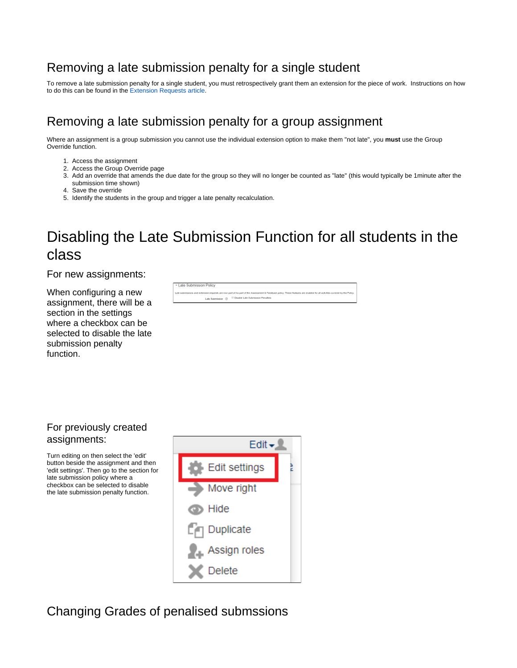# <span id="page-2-0"></span>Removing a late submission penalty for a single student

To remove a late submission penalty for a single student, you must retrospectively grant them an extension for the piece of work. Instructions on how to do this can be found in the [Extension Requests article.](https://support.myplace.strath.ac.uk/display/MS/Extension+Requests)

# <span id="page-2-1"></span>Removing a late submission penalty for a group assignment

Where an assignment is a group submission you cannot use the individual extension option to make them "not late", you **must** use the Group Override function.

- 1. Access the assignment
- 2. Access the Group Override page
- 3. Add an override that amends the due date for the group so they will no longer be counted as "late" (this would typically be 1minute after the submission time shown)
- 4. Save the override
- 5. Identify the students in the group and trigger a late penalty recalculation.

# Disabling the Late Submission Function for all students in the class

<span id="page-2-2"></span>For new assignments:

When configuring a new assignment, there will be a section in the settings where a checkbox can be selected to disable the late submission penalty function.

| External Folicy                                                                                                                                                           |
|---------------------------------------------------------------------------------------------------------------------------------------------------------------------------|
|                                                                                                                                                                           |
| Late submissions and extension requests are now part of As part of the Assessment & Feedback policy. These features are enabled for all activities covered by the Policy. |
| Late Submission (?) El Disable Late Submission Penalties                                                                                                                  |
|                                                                                                                                                                           |

#### <span id="page-2-3"></span>For previously created assignments:

Turn editing on then select the 'edit' button beside the assignment and then 'edit settings'. Then go to the section for late submission policy where a checkbox can be selected to disable the late submission penalty function.



<span id="page-2-4"></span>Changing Grades of penalised submssions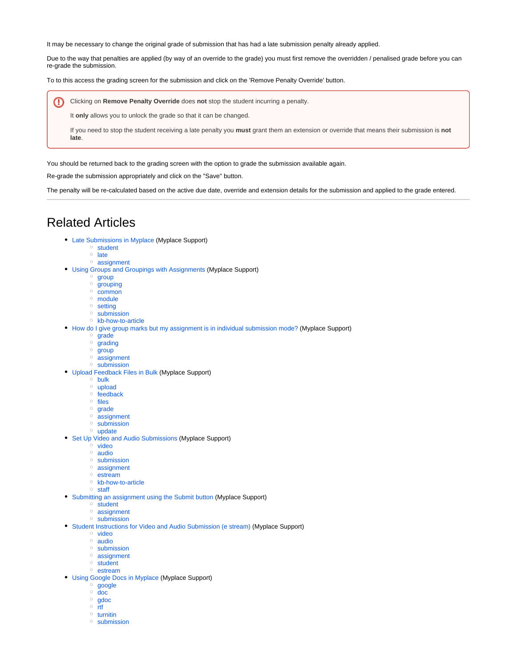It may be necessary to change the original grade of submission that has had a late submission penalty already applied.

Due to the way that penalties are applied (by way of an override to the grade) you must first remove the overridden / penalised grade before you can re-grade the submission.

To to this access the grading screen for the submission and click on the 'Remove Penalty Override' button.

ത Clicking on **Remove Penalty Override** does **not** stop the student incurring a penalty.

It **only** allows you to unlock the grade so that it can be changed.

If you need to stop the student receiving a late penalty you **must** grant them an extension or override that means their submission is **not late**.

You should be returned back to the grading screen with the option to grade the submission available again.

Re-grade the submission appropriately and click on the "Save" button.

The penalty will be re-calculated based on the active due date, override and extension details for the submission and applied to the grade entered.

#### <span id="page-3-0"></span>Related Articles

- [Late Submissions in Myplace](https://wiki.lte.strath.ac.uk/display/MS/Late+Submissions+in+Myplace) (Myplace Support)
	- <sup>o</sup> [student](https://wiki.lte.strath.ac.uk/label/student)
	- $\circ$  [late](https://wiki.lte.strath.ac.uk/label/late)
	- <sup>o</sup> [assignment](https://wiki.lte.strath.ac.uk/label/assignment)
- [Using Groups and Groupings with Assignments](https://wiki.lte.strath.ac.uk/display/MS/Using+Groups+and+Groupings+with+Assignments) (Myplace Support)
	- <sup>o</sup> [group](https://wiki.lte.strath.ac.uk/label/group)
	- <sup>o</sup> [grouping](https://wiki.lte.strath.ac.uk/label/grouping)
	- <sup>o</sup> [common](https://wiki.lte.strath.ac.uk/label/common) <sup>o</sup> [module](https://wiki.lte.strath.ac.uk/label/module)
	-
	- <sup>o</sup> [setting](https://wiki.lte.strath.ac.uk/label/setting) <sup>o</sup> [submission](https://wiki.lte.strath.ac.uk/label/submission)
	- [kb-how-to-article](https://wiki.lte.strath.ac.uk/label/kb-how-to-article)
	-
- [How do I give group marks but my assignment is in individual submission mode?](https://wiki.lte.strath.ac.uk/pages/viewpage.action?pageId=86736904) (Myplace Support)
	- <sup>o</sup> [grade](https://wiki.lte.strath.ac.uk/label/grade)  $\circ$  [grading](https://wiki.lte.strath.ac.uk/label/grading)
	- $\circ$  [group](https://wiki.lte.strath.ac.uk/label/group)
	- [assignment](https://wiki.lte.strath.ac.uk/label/assignment)
	- <sup>o</sup> [submission](https://wiki.lte.strath.ac.uk/label/submission)
- [Upload Feedback Files in Bulk](https://wiki.lte.strath.ac.uk/display/MS/Upload+Feedback+Files+in+Bulk) (Myplace Support)
	- <sup>o</sup> [bulk](https://wiki.lte.strath.ac.uk/label/bulk)
	- [upload](https://wiki.lte.strath.ac.uk/label/upload)
	- $\circ$  [feedback](https://wiki.lte.strath.ac.uk/label/feedback)
	- <sup>o</sup> [files](https://wiki.lte.strath.ac.uk/label/files)
	- <sup>o</sup> [grade](https://wiki.lte.strath.ac.uk/label/grade)
	- <sup>o</sup> [assignment](https://wiki.lte.strath.ac.uk/label/assignment)
	- <sup>o</sup> [submission](https://wiki.lte.strath.ac.uk/label/submission)
	- <sup>o</sup> [update](https://wiki.lte.strath.ac.uk/label/update)
- [Set Up Video and Audio Submissions](https://wiki.lte.strath.ac.uk/display/MS/Set+Up+Video+and+Audio+Submissions) (Myplace Support)
	- $\circ$  [video](https://wiki.lte.strath.ac.uk/label/video)
	- [audio](https://wiki.lte.strath.ac.uk/label/audio)
	- <sup>o</sup> [submission](https://wiki.lte.strath.ac.uk/label/submission)
	- <sup>o</sup> [assignment](https://wiki.lte.strath.ac.uk/label/assignment)
	- o [estream](https://wiki.lte.strath.ac.uk/label/estream)
	- [kb-how-to-article](https://wiki.lte.strath.ac.uk/label/kb-how-to-article)
	- [staff](https://wiki.lte.strath.ac.uk/label/staff)
- [Submitting an assignment using the Submit button](https://wiki.lte.strath.ac.uk/display/MS/Submitting+an+assignment+using+the+Submit+button) (Myplace Support) <sup>o</sup> [student](https://wiki.lte.strath.ac.uk/label/student)
	- [assignment](https://wiki.lte.strath.ac.uk/label/assignment)
	- <sup>o</sup> [submission](https://wiki.lte.strath.ac.uk/label/submission)
- [Student Instructions for Video and Audio Submission \(e stream\)](https://wiki.lte.strath.ac.uk/pages/viewpage.action?pageId=11764570) (Myplace Support)
	- [video](https://wiki.lte.strath.ac.uk/label/video)
	- [audio](https://wiki.lte.strath.ac.uk/label/audio)
	- <sup>o</sup> [submission](https://wiki.lte.strath.ac.uk/label/submission)
	- [assignment](https://wiki.lte.strath.ac.uk/label/assignment)
	- <sup>o</sup> [student](https://wiki.lte.strath.ac.uk/label/student) <sup>o</sup> [estream](https://wiki.lte.strath.ac.uk/label/estream)
	-
- [Using Google Docs in Myplace](https://wiki.lte.strath.ac.uk/display/MS/Using+Google+Docs+in+Myplace) (Myplace Support)
	- <sup>o</sup> [google](https://wiki.lte.strath.ac.uk/label/google) [doc](https://wiki.lte.strath.ac.uk/label/doc)
	- <sup>o</sup> [gdoc](https://wiki.lte.strath.ac.uk/label/gdoc)
	- $\circ$  [rtf](https://wiki.lte.strath.ac.uk/label/rtf)
	- $\circ$  [turnitin](https://wiki.lte.strath.ac.uk/label/turnitin)
	- <sup>o</sup> [submission](https://wiki.lte.strath.ac.uk/label/submission)